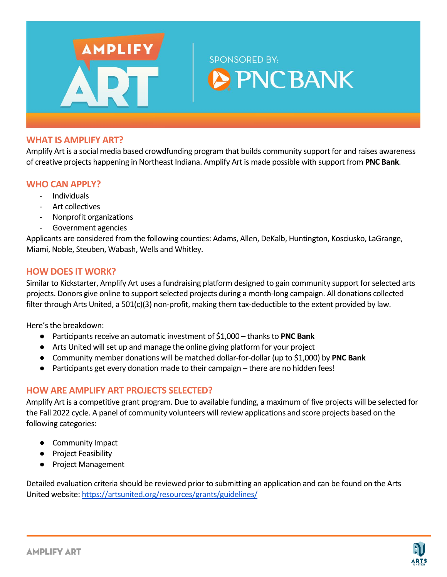

#### **WHAT IS AMPLIFY ART?**

Amplify Art is a social media based crowdfunding program that builds community support for and raises awareness of creative projects happening in Northeast Indiana. Amplify Art is made possible with support from **PNC Bank**.

#### **WHO CAN APPLY?**

- Individuals
- Art collectives
- Nonprofit organizations
- Government agencies

Applicants are considered from the following counties: Adams, Allen, DeKalb, Huntington, Kosciusko, LaGrange, Miami, Noble, Steuben, Wabash, Wells and Whitley.

### **HOW DOES IT WORK?**

Similar to Kickstarter, Amplify Art uses a fundraising platform designed to gain community support for selected arts projects. Donors give online to support selected projects during a month-long campaign. All donations collected filter through Arts United, a 501(c)(3) non-profit, making them tax-deductible to the extent provided by law.

Here's the breakdown:

- Participants receive an automatic investment of \$1,000 thanks to **PNC Bank**
- Arts United will set up and manage the online giving platform for your project
- Community member donations will be matched dollar-for-dollar (up to \$1,000) by **PNC Bank**
- Participants get every donation made to their campaign there are no hidden fees!

### **HOW ARE AMPLIFY ART PROJECTS SELECTED?**

Amplify Art is a competitive grant program. Due to available funding, a maximum of five projects will be selected for the Fall 2022 cycle. A panel of community volunteers will review applications and score projects based on the following categories:

- Community Impact
- Project Feasibility
- Project Management

Detailed evaluation criteria should be reviewed prior to submitting an application and can be found on the Arts United website:<https://artsunited.org/resources/grants/guidelines/>